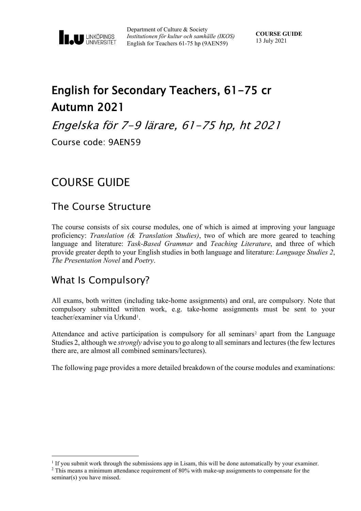

Department of Culture & Society *Institutionen för kultur och samhälle (IKOS)* English for Teachers 61-75 hp (9AEN59)

# English for Secondary Teachers, 61-75 cr Autumn 2021

Engelska för 7-9 lärare, 61-75 hp, ht 2021

Course code: 9AEN59

# COURSE GUIDE

### The Course Structure

The course consists of six course modules, one of which is aimed at improving your language proficiency: *Translation (& Translation Studies)*, two of which are more geared to teaching language and literature: *Task-Based Grammar* and *Teaching Literature*, and three of which provide greater depth to your English studies in both language and literature: *Language Studies 2*, *The Presentation Novel* and *Poetry*.

## What Is Compulsory?

All exams, both written (including take-home assignments) and oral, are compulsory. Note that compulsory submitted written work, e.g. take-home assignments must be sent to your teacher/examiner via Urkund<sup>[1](#page-0-0)</sup>.

Attendance and active participation is compulsory for all seminars<sup>[2](#page-0-1)</sup> apart from the Language Studies 2, although we *strongly* advise you to go along to all seminars and lectures (the few lectures there are, are almost all combined seminars/lectures).

The following page provides a more detailed breakdown of the course modules and examinations:

<span id="page-0-1"></span><span id="page-0-0"></span> $<sup>1</sup>$  If you submit work through the submissions app in Lisam, this will be done automatically by your examiner.</sup> <sup>2</sup> This means a minimum attendance requirement of 80% with make-up assignments to compensate for the

seminar(s) you have missed.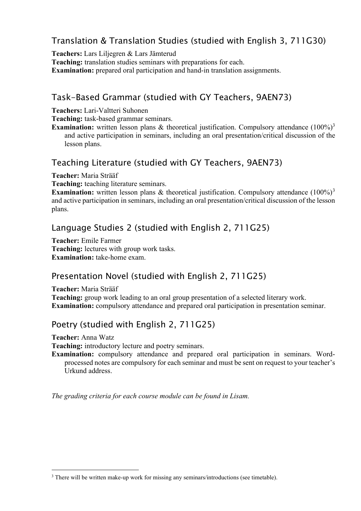### Translation & Translation Studies (studied with English 3, 711G30)

**Teachers:** Lars Liljegren & Lars Jämterud

**Teaching:** translation studies seminars with preparations for each.

**Examination:** prepared oral participation and hand-in translation assignments.

#### Task-Based Grammar (studied with GY Teachers, 9AEN73)

**Teachers:** Lari-Valtteri Suhonen

**Teaching:** task-based grammar seminars.

**Examination:** written lesson plans & theoretical justification. Compulsory attendance (100%)<sup>3</sup> and active participation in seminars, including an oral presentation/critical discussion of the lesson plans.

#### Teaching Literature (studied with GY Teachers, 9AEN73)

**Teacher:** Maria Strääf

**Teaching:** teaching literature seminars.

**Examination:** written lesson plans & theoretical justification. Compulsory attendance (100%)<sup>[3](#page-1-0)</sup> and active participation in seminars, including an oral presentation/critical discussion of the lesson plans.

#### Language Studies 2 (studied with English 2, 711G25)

**Teacher:** Emile Farmer **Teaching:** lectures with group work tasks. **Examination:** take-home exam.

#### Presentation Novel (studied with English 2, 711G25)

**Teacher:** Maria Strääf

**Teaching:** group work leading to an oral group presentation of a selected literary work. **Examination:** compulsory attendance and prepared oral participation in presentation seminar.

#### Poetry (studied with English 2, 711G25)

**Teacher:** Anna Watz

**Teaching:** introductory lecture and poetry seminars.

**Examination:** compulsory attendance and prepared oral participation in seminars. Wordprocessed notes are compulsory for each seminar and must be sent on request to your teacher's Urkund address.

*The grading criteria for each course module can be found in Lisam.*

<span id="page-1-0"></span><sup>&</sup>lt;sup>3</sup> There will be written make-up work for missing any seminars/introductions (see timetable).